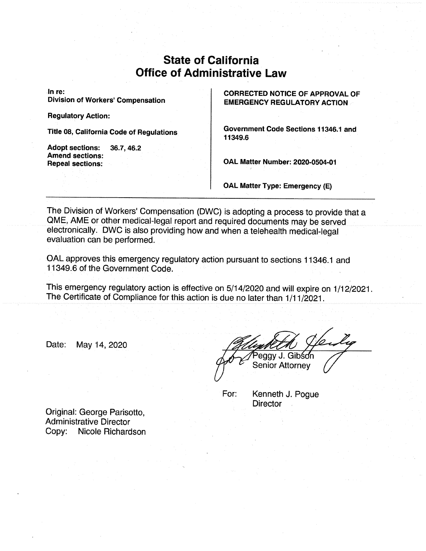## State of California Office of Administrative Law

In re: Division of Workers'Compensation

Regulatory Action:

Adopt sections: 36.7, 46.2 Amend sections: Repeal sections:

CORRECTED NOTICE OF APPROVAL OF EMERGENCY REGULATORY ACTION

Title 08, California Code of Regulations **Government Code Sections 11346.1** and  $11349.6$ 

OAL Matter Number:2020-0504-01

OAL Matter Type: Emergency (E)

The Division of Workers' Compensation (DWC) is adopting a process to provide that a QME, AME or other medical-legal report and required documents may be served electronically. DWC is also providing how and when a telehealth medical-legal evaluation can be performed.

OALapproves this emergency regulatory action pursuant to sections 11346.1 and 11349.6 of the Government Code.

This emergency regulatory action is effective on 5/14/2020 and will expire on 1/12/2021. The Certificate of Compliance for this action is due no later than 1/11/2021.

Date: May 14,2020

Peggy J. Gibson **Senior Attornev** 

For: Kenneth J. Pogue **Director** 

Original: George Parisotto, Administrative Director Copy: Nicole Richardson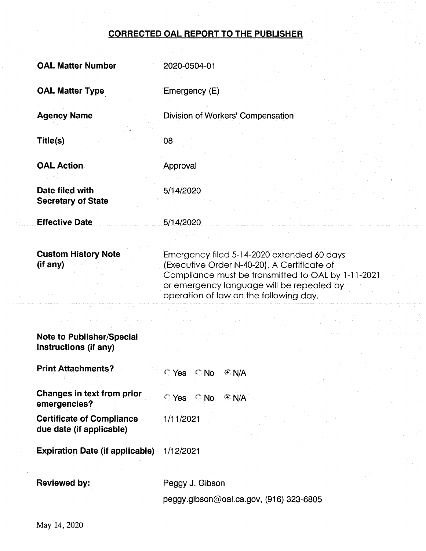## CORRECTED OAL REPORT TO THE PUBLISHER

| <b>OAL Matter Number</b>                                     | 2020-0504-01                                                                                                                                                                                                                           |
|--------------------------------------------------------------|----------------------------------------------------------------------------------------------------------------------------------------------------------------------------------------------------------------------------------------|
| <b>OAL Matter Type</b>                                       | Emergency (E)                                                                                                                                                                                                                          |
| <b>Agency Name</b>                                           | Division of Workers' Compensation                                                                                                                                                                                                      |
| Title(s)                                                     | 08                                                                                                                                                                                                                                     |
| <b>OAL Action</b>                                            | Approval                                                                                                                                                                                                                               |
| Date filed with<br><b>Secretary of State</b>                 | 5/14/2020                                                                                                                                                                                                                              |
| <b>Effective Date</b>                                        | 5/14/2020                                                                                                                                                                                                                              |
| <b>Custom History Note</b><br>(if any)                       | Emergency filed 5-14-2020 extended 60 days<br>(Executive Order N-40-20). A Certificate of<br>Compliance must be transmitted to OAL by 1-11-2021<br>or emergency language will be repealed by<br>operation of law on the following day. |
| <b>Note to Publisher/Special</b><br>Instructions (if any)    |                                                                                                                                                                                                                                        |
| <b>Print Attachments?</b>                                    | $\bigcirc$ Yes $\bigcirc$ No<br>$C \, N/A$                                                                                                                                                                                             |
| Changes in text from prior<br>emergencies?                   | $\bigcirc$ Yes $\bigcirc$ No<br>$\odot$ N/A                                                                                                                                                                                            |
| <b>Certificate of Compliance</b><br>due date (if applicable) | 1/11/2021                                                                                                                                                                                                                              |
| <b>Expiration Date (if applicable)</b>                       | 1/12/2021                                                                                                                                                                                                                              |
| <b>Reviewed by:</b>                                          | Peggy J. Gibson                                                                                                                                                                                                                        |

peggy.gibson@oal.ca.gov, (916) 323-6805